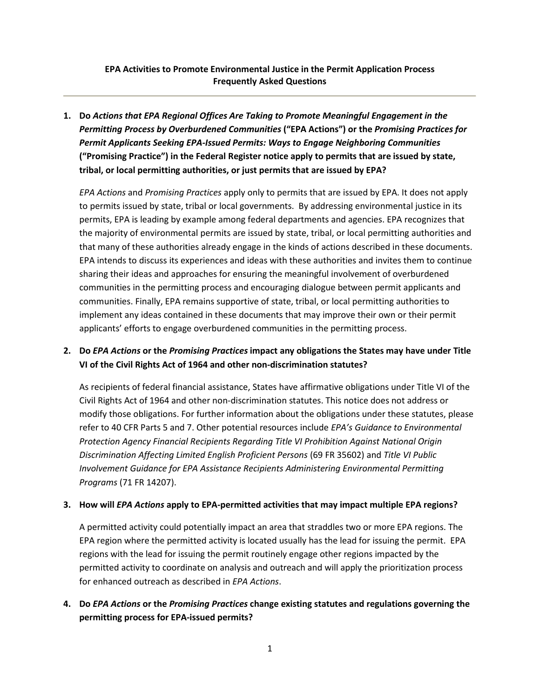### **EPA Activities to Promote Environmental Justice in the Permit Application Process Frequently Asked Questions**

**1. Do** *Actions that EPA Regional Offices Are Taking to Promote Meaningful Engagement in the Permitting Process by Overburdened Communities* **("EPA Actions") or the** *Promising Practices for Permit Applicants Seeking EPA-Issued Permits: Ways to Engage Neighboring Communities*  **("Promising Practice") in the Federal Register notice apply to permits that are issued by state, tribal, or local permitting authorities, or just permits that are issued by EPA?** 

*EPA Actions* and *Promising Practices* apply only to permits that are issued by EPA. It does not apply to permits issued by state, tribal or local governments. By addressing environmental justice in its permits, EPA is leading by example among federal departments and agencies. EPA recognizes that the majority of environmental permits are issued by state, tribal, or local permitting authorities and that many of these authorities already engage in the kinds of actions described in these documents. EPA intends to discuss its experiences and ideas with these authorities and invites them to continue sharing their ideas and approaches for ensuring the meaningful involvement of overburdened communities in the permitting process and encouraging dialogue between permit applicants and communities. Finally, EPA remains supportive of state, tribal, or local permitting authorities to implement any ideas contained in these documents that may improve their own or their permit applicants' efforts to engage overburdened communities in the permitting process.

## **2. Do** *EPA Actions* **or the** *Promising Practices* **impact any obligations the States may have under Title VI of the Civil Rights Act of 1964 and other non-discrimination statutes?**

As recipients of federal financial assistance, States have affirmative obligations under Title VI of the Civil Rights Act of 1964 and other non-discrimination statutes. This notice does not address or modify those obligations. For further information about the obligations under these statutes, please refer to 40 CFR Parts 5 and 7. Other potential resources include *EPA's Guidance to Environmental Protection Agency Financial Recipients Regarding Title VI Prohibition Against National Origin Discrimination Affecting Limited English Proficient Persons* (69 FR 35602) and *Title VI Public Involvement Guidance for EPA Assistance Recipients Administering Environmental Permitting Programs* (71 FR 14207).

#### **3. How will** *EPA Actions* **apply to EPA-permitted activities that may impact multiple EPA regions?**

A permitted activity could potentially impact an area that straddles two or more EPA regions. The EPA region where the permitted activity is located usually has the lead for issuing the permit. EPA regions with the lead for issuing the permit routinely engage other regions impacted by the permitted activity to coordinate on analysis and outreach and will apply the prioritization process for enhanced outreach as described in *EPA Actions*.

## **4. Do** *EPA Actions* **or the** *Promising Practices* **change existing statutes and regulations governing the permitting process for EPA-issued permits?**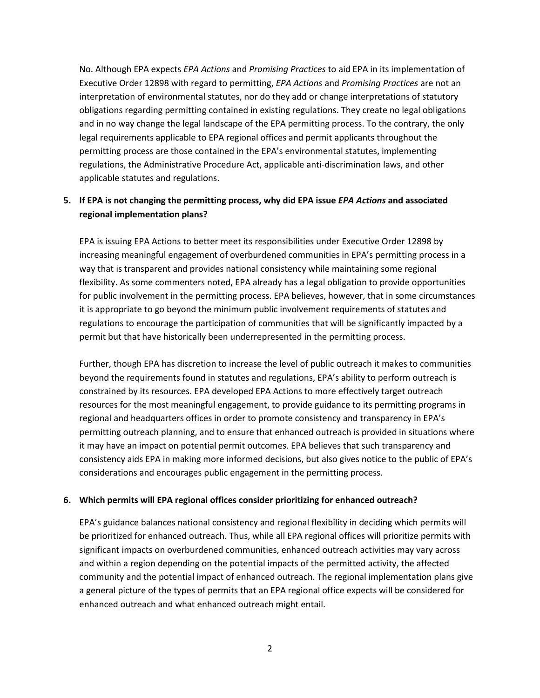No. Although EPA expects *EPA Actions* and *Promising Practices* to aid EPA in its implementation of Executive Order 12898 with regard to permitting, *EPA Actions* and *Promising Practices* are not an interpretation of environmental statutes, nor do they add or change interpretations of statutory obligations regarding permitting contained in existing regulations. They create no legal obligations and in no way change the legal landscape of the EPA permitting process. To the contrary, the only legal requirements applicable to EPA regional offices and permit applicants throughout the permitting process are those contained in the EPA's environmental statutes, implementing regulations, the Administrative Procedure Act, applicable anti-discrimination laws, and other applicable statutes and regulations.

## **5. If EPA is not changing the permitting process, why did EPA issue** *EPA Actions* **and associated regional implementation plans?**

EPA is issuing EPA Actions to better meet its responsibilities under Executive Order 12898 by increasing meaningful engagement of overburdened communities in EPA's permitting process in a way that is transparent and provides national consistency while maintaining some regional flexibility. As some commenters noted, EPA already has a legal obligation to provide opportunities for public involvement in the permitting process. EPA believes, however, that in some circumstances it is appropriate to go beyond the minimum public involvement requirements of statutes and regulations to encourage the participation of communities that will be significantly impacted by a permit but that have historically been underrepresented in the permitting process.

Further, though EPA has discretion to increase the level of public outreach it makes to communities beyond the requirements found in statutes and regulations, EPA's ability to perform outreach is constrained by its resources. EPA developed EPA Actions to more effectively target outreach resources for the most meaningful engagement, to provide guidance to its permitting programs in regional and headquarters offices in order to promote consistency and transparency in EPA's permitting outreach planning, and to ensure that enhanced outreach is provided in situations where it may have an impact on potential permit outcomes. EPA believes that such transparency and consistency aids EPA in making more informed decisions, but also gives notice to the public of EPA's considerations and encourages public engagement in the permitting process.

#### **6. Which permits will EPA regional offices consider prioritizing for enhanced outreach?**

EPA's guidance balances national consistency and regional flexibility in deciding which permits will be prioritized for enhanced outreach. Thus, while all EPA regional offices will prioritize permits with significant impacts on overburdened communities, enhanced outreach activities may vary across and within a region depending on the potential impacts of the permitted activity, the affected community and the potential impact of enhanced outreach. The regional implementation plans give a general picture of the types of permits that an EPA regional office expects will be considered for enhanced outreach and what enhanced outreach might entail.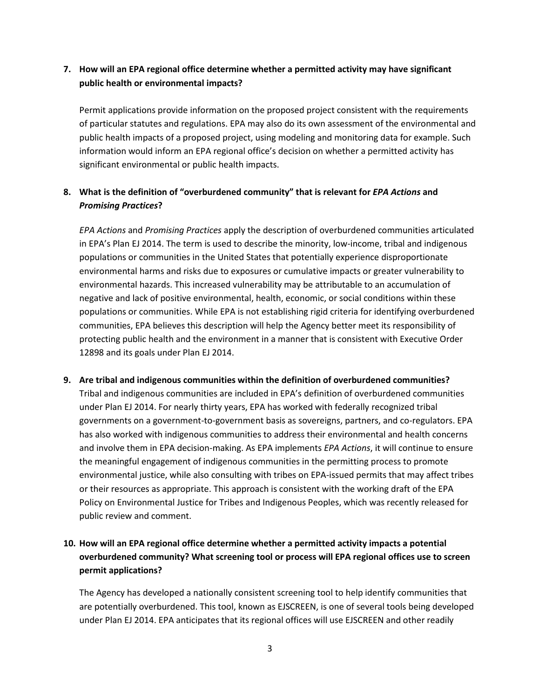## **7. How will an EPA regional office determine whether a permitted activity may have significant public health or environmental impacts?**

Permit applications provide information on the proposed project consistent with the requirements of particular statutes and regulations. EPA may also do its own assessment of the environmental and public health impacts of a proposed project, using modeling and monitoring data for example. Such information would inform an EPA regional office's decision on whether a permitted activity has significant environmental or public health impacts.

## **8. What is the definition of "overburdened community" that is relevant for** *EPA Actions* **and**  *Promising Practices***?**

*EPA Actions* and *Promising Practices* apply the description of overburdened communities articulated in EPA's Plan EJ 2014. The term is used to describe the minority, low-income, tribal and indigenous populations or communities in the United States that potentially experience disproportionate environmental harms and risks due to exposures or cumulative impacts or greater vulnerability to environmental hazards. This increased vulnerability may be attributable to an accumulation of negative and lack of positive environmental, health, economic, or social conditions within these populations or communities. While EPA is not establishing rigid criteria for identifying overburdened communities, EPA believes this description will help the Agency better meet its responsibility of protecting public health and the environment in a manner that is consistent with Executive Order 12898 and its goals under Plan EJ 2014.

# **9. Are tribal and indigenous communities within the definition of overburdened communities?**  Tribal and indigenous communities are included in EPA's definition of overburdened communities under Plan EJ 2014. For nearly thirty years, EPA has worked with federally recognized tribal governments on a government-to-government basis as sovereigns, partners, and co-regulators. EPA has also worked with indigenous communities to address their environmental and health concerns and involve them in EPA decision-making. As EPA implements *EPA Actions*, it will continue to ensure the meaningful engagement of indigenous communities in the permitting process to promote environmental justice, while also consulting with tribes on EPA-issued permits that may affect tribes or their resources as appropriate. This approach is consistent with the working draft of the EPA Policy on Environmental Justice for Tribes and Indigenous Peoples, which was recently released for public review and comment.

## **10. How will an EPA regional office determine whether a permitted activity impacts a potential overburdened community? What screening tool or process will EPA regional offices use to screen permit applications?**

The Agency has developed a nationally consistent screening tool to help identify communities that are potentially overburdened. This tool, known as EJSCREEN, is one of several tools being developed under Plan EJ 2014. EPA anticipates that its regional offices will use EJSCREEN and other readily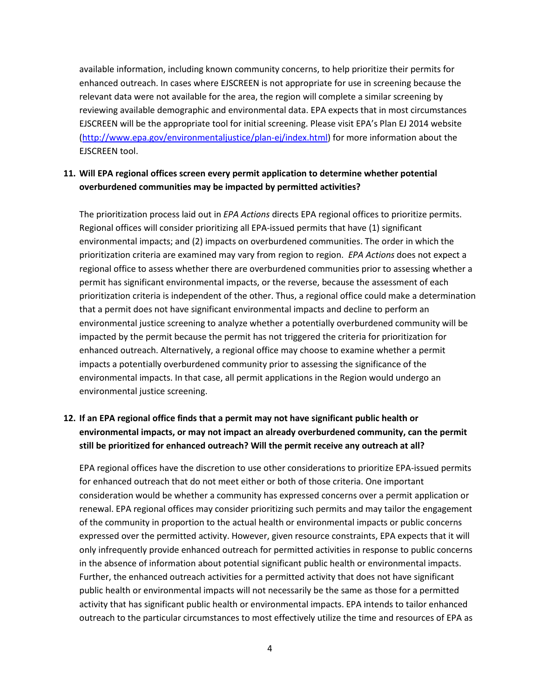available information, including known community concerns, to help prioritize their permits for enhanced outreach. In cases where EJSCREEN is not appropriate for use in screening because the relevant data were not available for the area, the region will complete a similar screening by reviewing available demographic and environmental data. EPA expects that in most circumstances EJSCREEN will be the appropriate tool for initial screening. Please visit EPA's Plan EJ 2014 website [\(http://www.epa.gov/environmentaljustice/plan-ej/index.html\)](http://www.epa.gov/environmentaljustice/plan-ej/index.html) for more information about the EJSCREEN tool.

### **11. Will EPA regional offices screen every permit application to determine whether potential overburdened communities may be impacted by permitted activities?**

The prioritization process laid out in *EPA Actions* directs EPA regional offices to prioritize permits. Regional offices will consider prioritizing all EPA-issued permits that have (1) significant environmental impacts; and (2) impacts on overburdened communities. The order in which the prioritization criteria are examined may vary from region to region. *EPA Actions* does not expect a regional office to assess whether there are overburdened communities prior to assessing whether a permit has significant environmental impacts, or the reverse, because the assessment of each prioritization criteria is independent of the other. Thus, a regional office could make a determination that a permit does not have significant environmental impacts and decline to perform an environmental justice screening to analyze whether a potentially overburdened community will be impacted by the permit because the permit has not triggered the criteria for prioritization for enhanced outreach. Alternatively, a regional office may choose to examine whether a permit impacts a potentially overburdened community prior to assessing the significance of the environmental impacts. In that case, all permit applications in the Region would undergo an environmental justice screening.

## **12. If an EPA regional office finds that a permit may not have significant public health or environmental impacts, or may not impact an already overburdened community, can the permit still be prioritized for enhanced outreach? Will the permit receive any outreach at all?**

EPA regional offices have the discretion to use other considerations to prioritize EPA-issued permits for enhanced outreach that do not meet either or both of those criteria. One important consideration would be whether a community has expressed concerns over a permit application or renewal. EPA regional offices may consider prioritizing such permits and may tailor the engagement of the community in proportion to the actual health or environmental impacts or public concerns expressed over the permitted activity. However, given resource constraints, EPA expects that it will only infrequently provide enhanced outreach for permitted activities in response to public concerns in the absence of information about potential significant public health or environmental impacts. Further, the enhanced outreach activities for a permitted activity that does not have significant public health or environmental impacts will not necessarily be the same as those for a permitted activity that has significant public health or environmental impacts. EPA intends to tailor enhanced outreach to the particular circumstances to most effectively utilize the time and resources of EPA as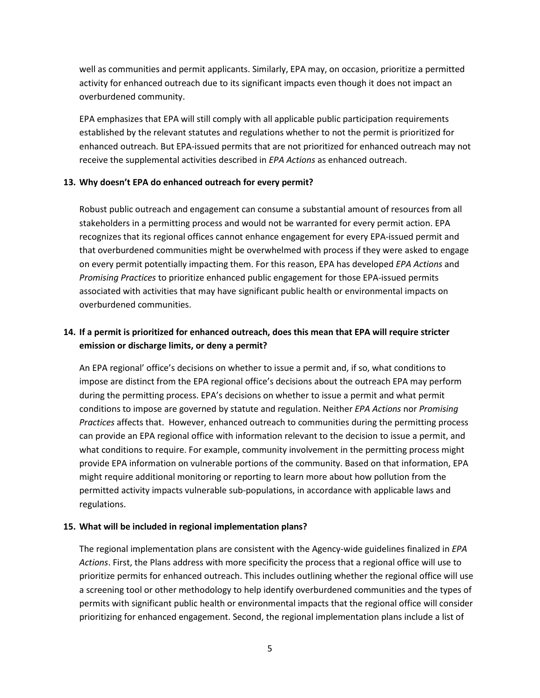well as communities and permit applicants. Similarly, EPA may, on occasion, prioritize a permitted activity for enhanced outreach due to its significant impacts even though it does not impact an overburdened community.

EPA emphasizes that EPA will still comply with all applicable public participation requirements established by the relevant statutes and regulations whether to not the permit is prioritized for enhanced outreach. But EPA-issued permits that are not prioritized for enhanced outreach may not receive the supplemental activities described in *EPA Actions* as enhanced outreach.

#### **13. Why doesn't EPA do enhanced outreach for every permit?**

Robust public outreach and engagement can consume a substantial amount of resources from all stakeholders in a permitting process and would not be warranted for every permit action. EPA recognizes that its regional offices cannot enhance engagement for every EPA-issued permit and that overburdened communities might be overwhelmed with process if they were asked to engage on every permit potentially impacting them. For this reason, EPA has developed *EPA Actions* and *Promising Practices* to prioritize enhanced public engagement for those EPA-issued permits associated with activities that may have significant public health or environmental impacts on overburdened communities.

## **14. If a permit is prioritized for enhanced outreach, does this mean that EPA will require stricter emission or discharge limits, or deny a permit?**

An EPA regional' office's decisions on whether to issue a permit and, if so, what conditions to impose are distinct from the EPA regional office's decisions about the outreach EPA may perform during the permitting process. EPA's decisions on whether to issue a permit and what permit conditions to impose are governed by statute and regulation. Neither *EPA Actions* nor *Promising Practices* affects that. However, enhanced outreach to communities during the permitting process can provide an EPA regional office with information relevant to the decision to issue a permit, and what conditions to require. For example, community involvement in the permitting process might provide EPA information on vulnerable portions of the community. Based on that information, EPA might require additional monitoring or reporting to learn more about how pollution from the permitted activity impacts vulnerable sub-populations, in accordance with applicable laws and regulations.

#### **15. What will be included in regional implementation plans?**

The regional implementation plans are consistent with the Agency-wide guidelines finalized in *EPA Actions*. First, the Plans address with more specificity the process that a regional office will use to prioritize permits for enhanced outreach. This includes outlining whether the regional office will use a screening tool or other methodology to help identify overburdened communities and the types of permits with significant public health or environmental impacts that the regional office will consider prioritizing for enhanced engagement. Second, the regional implementation plans include a list of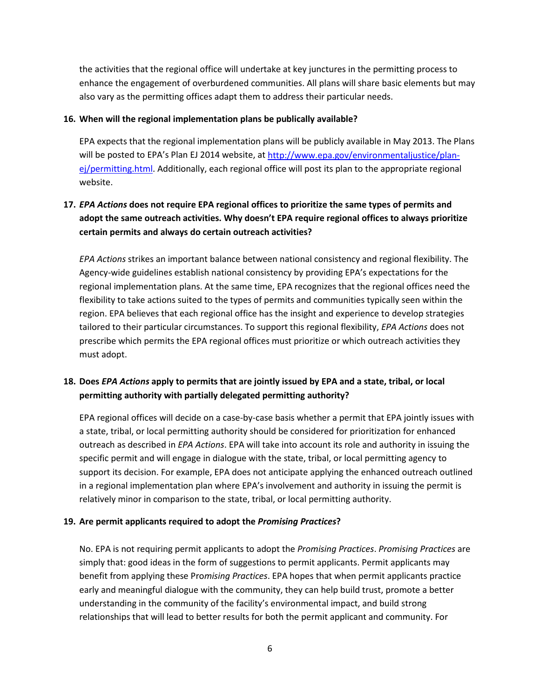the activities that the regional office will undertake at key junctures in the permitting process to enhance the engagement of overburdened communities. All plans will share basic elements but may also vary as the permitting offices adapt them to address their particular needs.

#### **16. When will the regional implementation plans be publically available?**

EPA expects that the regional implementation plans will be publicly available in May 2013. The Plans will be posted to EPA's Plan EJ 2014 website, at [http://www.epa.gov/environmentaljustice/plan](http://www.epa.gov/environmentaljustice/plan-ej/permitting.html)[ej/permitting.html.](http://www.epa.gov/environmentaljustice/plan-ej/permitting.html) Additionally, each regional office will post its plan to the appropriate regional website.

## **17.** *EPA Actions* **does not require EPA regional offices to prioritize the same types of permits and adopt the same outreach activities. Why doesn't EPA require regional offices to always prioritize certain permits and always do certain outreach activities?**

*EPA Actions* strikes an important balance between national consistency and regional flexibility. The Agency-wide guidelines establish national consistency by providing EPA's expectations for the regional implementation plans. At the same time, EPA recognizes that the regional offices need the flexibility to take actions suited to the types of permits and communities typically seen within the region. EPA believes that each regional office has the insight and experience to develop strategies tailored to their particular circumstances. To support this regional flexibility, *EPA Actions* does not prescribe which permits the EPA regional offices must prioritize or which outreach activities they must adopt.

## **18. Does** *EPA Actions* **apply to permits that are jointly issued by EPA and a state, tribal, or local permitting authority with partially delegated permitting authority?**

EPA regional offices will decide on a case-by-case basis whether a permit that EPA jointly issues with a state, tribal, or local permitting authority should be considered for prioritization for enhanced outreach as described in *EPA Actions*. EPA will take into account its role and authority in issuing the specific permit and will engage in dialogue with the state, tribal, or local permitting agency to support its decision. For example, EPA does not anticipate applying the enhanced outreach outlined in a regional implementation plan where EPA's involvement and authority in issuing the permit is relatively minor in comparison to the state, tribal, or local permitting authority.

#### **19. Are permit applicants required to adopt the** *Promising Practices***?**

No. EPA is not requiring permit applicants to adopt the *Promising Practices*. *Promising Practices* are simply that: good ideas in the form of suggestions to permit applicants. Permit applicants may benefit from applying these Pro*mising Practices*. EPA hopes that when permit applicants practice early and meaningful dialogue with the community, they can help build trust, promote a better understanding in the community of the facility's environmental impact, and build strong relationships that will lead to better results for both the permit applicant and community. For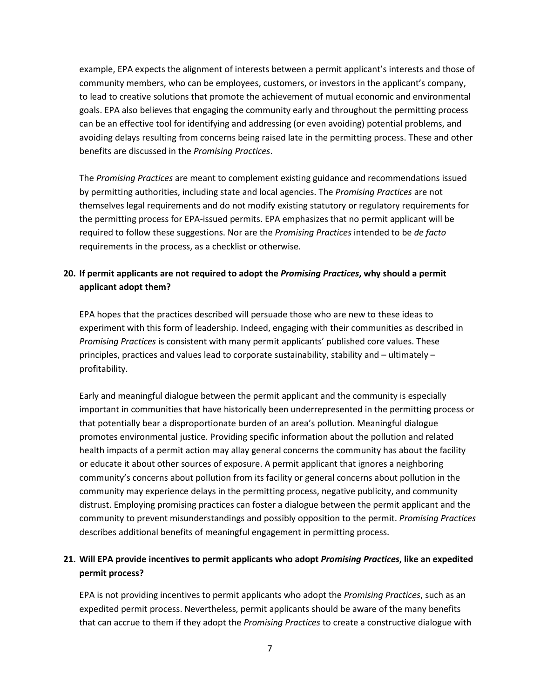example, EPA expects the alignment of interests between a permit applicant's interests and those of community members, who can be employees, customers, or investors in the applicant's company, to lead to creative solutions that promote the achievement of mutual economic and environmental goals. EPA also believes that engaging the community early and throughout the permitting process can be an effective tool for identifying and addressing (or even avoiding) potential problems, and avoiding delays resulting from concerns being raised late in the permitting process. These and other benefits are discussed in the *Promising Practices*.

The *Promising Practices* are meant to complement existing guidance and recommendations issued by permitting authorities, including state and local agencies. The *Promising Practices* are not themselves legal requirements and do not modify existing statutory or regulatory requirements for the permitting process for EPA-issued permits. EPA emphasizes that no permit applicant will be required to follow these suggestions. Nor are the *Promising Practices* intended to be *de facto* requirements in the process, as a checklist or otherwise.

## **20. If permit applicants are not required to adopt the** *Promising Practices***, why should a permit applicant adopt them?**

EPA hopes that the practices described will persuade those who are new to these ideas to experiment with this form of leadership. Indeed, engaging with their communities as described in *Promising Practices* is consistent with many permit applicants' published core values. These principles, practices and values lead to corporate sustainability, stability and – ultimately – profitability.

Early and meaningful dialogue between the permit applicant and the community is especially important in communities that have historically been underrepresented in the permitting process or that potentially bear a disproportionate burden of an area's pollution. Meaningful dialogue promotes environmental justice. Providing specific information about the pollution and related health impacts of a permit action may allay general concerns the community has about the facility or educate it about other sources of exposure. A permit applicant that ignores a neighboring community's concerns about pollution from its facility or general concerns about pollution in the community may experience delays in the permitting process, negative publicity, and community distrust. Employing promising practices can foster a dialogue between the permit applicant and the community to prevent misunderstandings and possibly opposition to the permit. *Promising Practices*  describes additional benefits of meaningful engagement in permitting process.

## **21. Will EPA provide incentives to permit applicants who adopt** *Promising Practices***, like an expedited permit process?**

EPA is not providing incentives to permit applicants who adopt the *Promising Practices*, such as an expedited permit process. Nevertheless, permit applicants should be aware of the many benefits that can accrue to them if they adopt the *Promising Practices* to create a constructive dialogue with